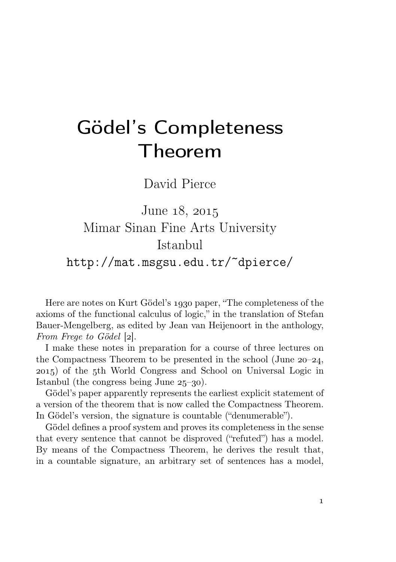## Gödel's Completeness Theorem

David Pierce

June 18, 2015 Mimar Sinan Fine Arts University Istanbul http://mat.msgsu.edu.tr/~dpierce/

Here are notes on Kurt Gödel's 1930 paper, "The completeness of the axioms of the functional calculus of logic," in the translation of Stefan Bauer-Mengelberg, as edited by Jean van Heijenoort in the anthology, From Frege to Gödel [2].

I make these notes in preparation for a course of three lectures on the Compactness Theorem to be presented in the school (June  $20-24$ , ) of the th World Congress and School on Universal Logic in Istanbul (the congress being June  $25-30$ ).

Gödel's paper apparently represents the earliest explicit statement of a version of the theorem that is now called the Compactness Theorem. In Gödel's version, the signature is countable ("denumerable").

Gödel defines a proof system and proves its completeness in the sense that every sentence that cannot be disproved ("refuted") has a model. By means of the Compactness Theorem, he derives the result that, in a countable signature, an arbitrary set of sentences has a model,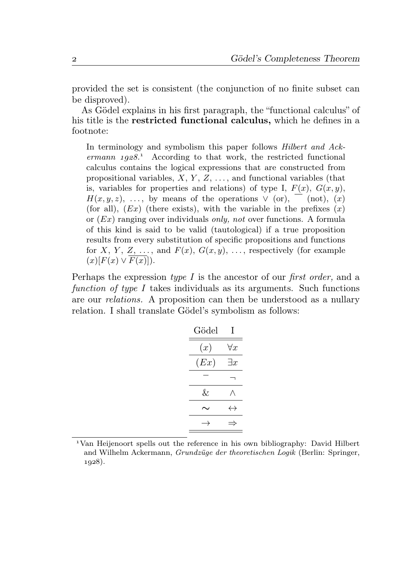provided the set is consistent (the conjunction of no finite subset can be disproved).

As Gödel explains in his first paragraph, the "functional calculus" of his title is the restricted functional calculus, which he defines in a footnote:

In terminology and symbolism this paper follows *Hilbert and Ack* $ermann$   $1928.$ <sup>1</sup> According to that work, the restricted functional calculus contains the logical expressions that are constructed from propositional variables,  $X, Y, Z, \ldots$ , and functional variables (that is, variables for properties and relations) of type I,  $F(x)$ ,  $G(x, y)$ ,  $H(x, y, z), \ldots$ , by means of the operations  $\vee$  (or),  $\overline{a}$  (not), (x) (for all),  $(EX)$  (there exists), with the variable in the prefixes  $(x)$ or  $(EX)$  ranging over individuals *only, not* over functions. A formula of this kind is said to be valid (tautological) if a true proposition results from every substitution of specific propositions and functions for X, Y, Z, ..., and  $F(x)$ ,  $G(x, y)$ , ..., respectively (for example  $(x)[F(x) \vee \overline{F(x)}].$ 

Perhaps the expression type I is the ancestor of our first order, and a function of type I takes individuals as its arguments. Such functions are our relations. A proposition can then be understood as a nullary relation. I shall translate Gödel's symbolism as follows:

| Gödel | I                 |
|-------|-------------------|
| (x)   | $\forall x$       |
| (Ex)  | $\exists x$       |
|       |                   |
| &.    |                   |
| ◡     | $\leftrightarrow$ |
|       |                   |

Van Heijenoort spells out the reference in his own bibliography: David Hilbert and Wilhelm Ackermann, Grundzüge der theoretischen Logik (Berlin: Springer,  $1928$ ).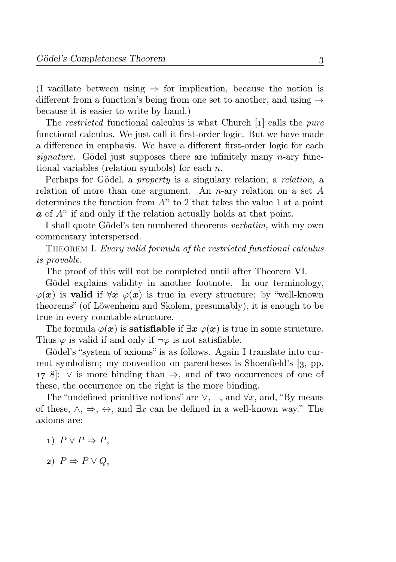(I vacillate between using  $\Rightarrow$  for implication, because the notion is different from a function's being from one set to another, and using  $\rightarrow$ because it is easier to write by hand.)

The *restricted* functional calculus is what Church  $\lceil 1 \rceil$  calls the *pure* functional calculus. We just call it first-order logic. But we have made a difference in emphasis. We have a different first-order logic for each signature. Gödel just supposes there are infinitely many n-ary functional variables (relation symbols) for each n.

Perhaps for Gödel, a property is a singulary relation; a relation, a relation of more than one argument. An n-ary relation on a set A determines the function from  $A<sup>n</sup>$  to 2 that takes the value 1 at a point  $\boldsymbol{a}$  of  $A^n$  if and only if the relation actually holds at that point.

I shall quote Gödel's ten numbered theorems verbatim, with my own commentary interspersed.

THEOREM I. Every valid formula of the restricted functional calculus is provable.

The proof of this will not be completed until after Theorem VI.

Gödel explains validity in another footnote. In our terminology,  $\varphi(x)$  is valid if  $\forall x \varphi(x)$  is true in every structure; by "well-known" theorems" (of Löwenheim and Skolem, presumably), it is enough to be true in every countable structure.

The formula  $\varphi(x)$  is **satisfiable** if  $\exists x \varphi(x)$  is true in some structure. Thus  $\varphi$  is valid if and only if  $\neg \varphi$  is not satisfiable.

Gödel's "system of axioms" is as follows. Again I translate into current symbolism; my convention on parentheses is Shoenfield's [3, pp.  $17-8$ :  $\vee$  is more binding than  $\Rightarrow$ , and of two occurrences of one of these, the occurrence on the right is the more binding.

The "undefined primitive notions" are  $\vee$ ,  $\neg$ , and  $\forall x$ , and, "By means" of these,  $\wedge$ ,  $\Rightarrow$ ,  $\leftrightarrow$ , and  $\exists x$  can be defined in a well-known way." The axioms are:

- 1)  $P \vee P \Rightarrow P$ .
- 2)  $P \Rightarrow P \lor Q$ ,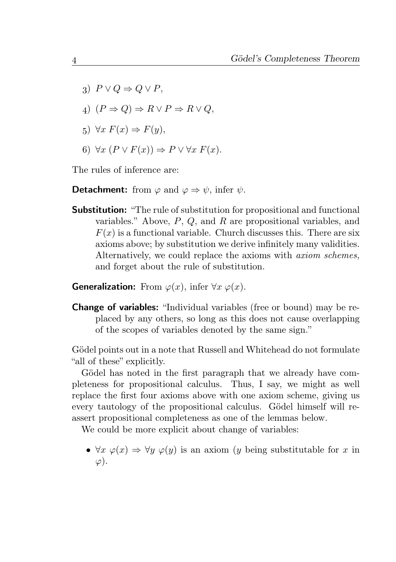- 3)  $P \vee Q \Rightarrow Q \vee P$
- 4)  $(P \Rightarrow Q) \Rightarrow R \vee P \Rightarrow R \vee Q$ .
- 5)  $\forall x \ F(x) \Rightarrow F(y)$ ,
- 6)  $\forall x \ (P \lor F(x)) \Rightarrow P \lor \forall x \ F(x).$

The rules of inference are:

**Detachment:** from  $\varphi$  and  $\varphi \Rightarrow \psi$ , infer  $\psi$ .

Substitution: "The rule of substitution for propositional and functional variables." Above, P, Q, and R are propositional variables, and  $F(x)$  is a functional variable. Church discusses this. There are six axioms above; by substitution we derive infinitely many validities. Alternatively, we could replace the axioms with *axiom schemes*, and forget about the rule of substitution.

**Generalization:** From  $\varphi(x)$ , infer  $\forall x \varphi(x)$ .

Change of variables: "Individual variables (free or bound) may be replaced by any others, so long as this does not cause overlapping of the scopes of variables denoted by the same sign."

Gödel points out in a note that Russell and Whitehead do not formulate "all of these" explicitly.

Gödel has noted in the first paragraph that we already have completeness for propositional calculus. Thus, I say, we might as well replace the first four axioms above with one axiom scheme, giving us every tautology of the propositional calculus. Gödel himself will reassert propositional completeness as one of the lemmas below.

We could be more explicit about change of variables:

•  $\forall x \varphi(x) \Rightarrow \forall y \varphi(y)$  is an axiom (y being substitutable for x in  $\varphi$ ).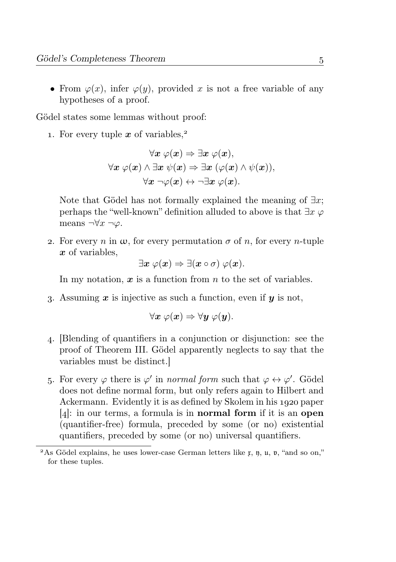• From  $\varphi(x)$ , infer  $\varphi(y)$ , provided x is not a free variable of any hypotheses of a proof.

Gödel states some lemmas without proof:

1. For every tuple  $x$  of variables.<sup>2</sup>

$$
\forall x \ \varphi(x) \Rightarrow \exists x \ \varphi(x),
$$

$$
\forall x \ \varphi(x) \land \exists x \ \psi(x) \Rightarrow \exists x \ (\varphi(x) \land \psi(x)),
$$

$$
\forall x \ \neg \varphi(x) \leftrightarrow \neg \exists x \ \varphi(x).
$$

Note that Gödel has not formally explained the meaning of  $\exists x$ ; perhaps the "well-known" definition alluded to above is that  $\exists x \varphi$ means  $\neg\forall x \neg\varphi$ .

2. For every n in  $\omega$ , for every permutation  $\sigma$  of n, for every n-tuple x of variables,

 $\exists x \varphi(x) \Rightarrow \exists (x \circ \sigma) \varphi(x).$ 

In my notation,  $x$  is a function from  $n$  to the set of variables.

3. Assuming  $x$  is injective as such a function, even if  $y$  is not,

$$
\forall x \ \varphi(x) \Rightarrow \forall y \ \varphi(y).
$$

- . [Blending of quantifiers in a conjunction or disjunction: see the proof of Theorem III. Gödel apparently neglects to say that the variables must be distinct.]
- 5. For every  $\varphi$  there is  $\varphi'$  in *normal form* such that  $\varphi \leftrightarrow \varphi'$ . Gödel does not define normal form, but only refers again to Hilbert and Ackermann. Evidently it is as defined by Skolem in his 1920 paper  $[4]$ : in our terms, a formula is in **normal form** if it is an **open** (quantifier-free) formula, preceded by some (or no) existential quantifiers, preceded by some (or no) universal quantifiers.

<sup>&</sup>lt;sup>2</sup>As Gödel explains, he uses lower-case German letters like  $x, \eta, u, v$ , "and so on," for these tuples.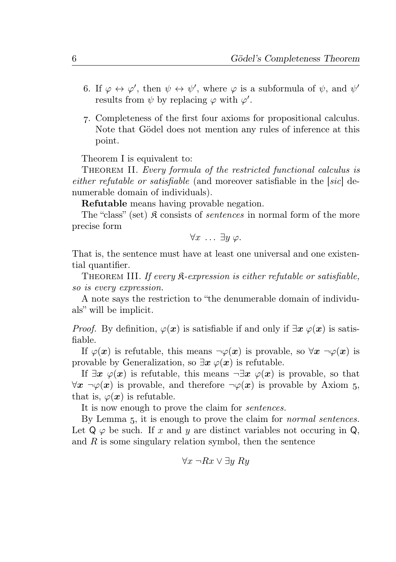- 6. If  $\varphi \leftrightarrow \varphi'$ , then  $\psi \leftrightarrow \psi'$ , where  $\varphi$  is a subformula of  $\psi$ , and  $\psi'$ results from  $\psi$  by replacing  $\varphi$  with  $\varphi'$ .
- . Completeness of the first four axioms for propositional calculus. Note that Gödel does not mention any rules of inference at this point.

Theorem I is equivalent to:

THEOREM II. Every formula of the restricted functional calculus is either refutable or satisfiable (and moreover satisfiable in the [sic] denumerable domain of individuals).

Refutable means having provable negation.

The "class" (set)  $\mathfrak K$  consists of *sentences* in normal form of the more precise form

$$
\forall x \ldots \exists y \varphi.
$$

That is, the sentence must have at least one universal and one existential quantifier.

THEOREM III. If every  $\mathcal{R}$ -expression is either refutable or satisfiable, so is every expression.

A note says the restriction to "the denumerable domain of individuals" will be implicit.

*Proof.* By definition,  $\varphi(x)$  is satisfiable if and only if  $\exists x \varphi(x)$  is satisfiable.

If  $\varphi(x)$  is refutable, this means  $\neg \varphi(x)$  is provable, so  $\forall x \neg \varphi(x)$  is provable by Generalization, so  $\exists x \varphi(x)$  is refutable.

If  $\exists x \varphi(x)$  is refutable, this means  $\neg \exists x \varphi(x)$  is provable, so that  $\forall x \neg \varphi(x)$  is provable, and therefore  $\neg \varphi(x)$  is provable by Axiom 5, that is,  $\varphi(x)$  is refutable.

It is now enough to prove the claim for sentences.

By Lemma 5, it is enough to prove the claim for *normal sentences*. Let  $Q \varphi$  be such. If x and y are distinct variables not occuring in  $Q$ , and  $R$  is some singulary relation symbol, then the sentence

$$
\forall x \ \neg Rx \lor \exists y \ Ry
$$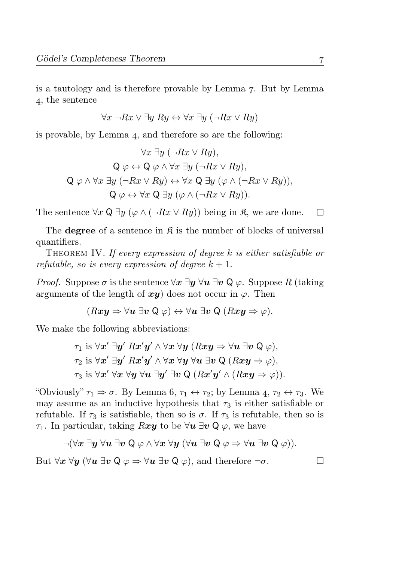is a tautology and is therefore provable by Lemma  $\overline{z}$ . But by Lemma , the sentence

$$
\forall x \ \neg Rx \lor \exists y \ Ry \leftrightarrow \forall x \ \exists y \ (\neg Rx \lor Ry)
$$

is provable, by Lemma  $_4$ , and therefore so are the following:

$$
\forall x \exists y (\neg Rx \lor Ry),\mathbf{Q} \varphi \leftrightarrow \mathbf{Q} \varphi \land \forall x \exists y (\neg Rx \lor Ry),\mathbf{Q} \varphi \land \forall x \exists y (\neg Rx \lor Ry),\mathbf{Q} \varphi \land \forall x \exists y (\neg Rx \lor Ry) \leftrightarrow \forall x \mathbf{Q} \exists y (\varphi \land (\neg Rx \lor Ry)),\mathbf{Q} \varphi \leftrightarrow \forall x \mathbf{Q} \exists y (\varphi \land (\neg Rx \lor Ry)).
$$

The sentence  $\forall x \mathsf{Q} \exists y (\varphi \wedge (\neg Rx \vee Ry))$  being in  $\mathfrak{K}$ , we are done.

The **degree** of a sentence in  $\mathcal{R}$  is the number of blocks of universal quantifiers.

THEOREM IV. If every expression of degree  $k$  is either satisfiable or refutable, so is every expression of degree  $k + 1$ .

*Proof.* Suppose  $\sigma$  is the sentence  $\forall x \exists u \forall u \exists v \forall u$ . Suppose R (taking arguments of the length of  $x\mathbf{v}$  does not occur in  $\varphi$ . Then

$$
(Rxy \Rightarrow \forall u \exists v \ \mathsf{Q} \ \varphi) \leftrightarrow \forall u \ \exists v \ \mathsf{Q} \ (Rxy \Rightarrow \varphi).
$$

We make the following abbreviations:

$$
\tau_1 \text{ is } \forall x' \exists y' \; R x' y' \land \forall x \; \forall y \; (R x y \Rightarrow \forall u \; \exists v \; Q \; \varphi),
$$
  

$$
\tau_2 \text{ is } \forall x' \; \exists y' \; R x' y' \land \forall x \; \forall y \; \forall u \; \exists v \; Q \; (R x y \Rightarrow \varphi),
$$
  

$$
\tau_3 \text{ is } \forall x' \; \forall x \; \forall y \; \forall u \; \exists y' \; \exists v \; Q \; (R x' y' \land (R x y \Rightarrow \varphi)).
$$

"Obviously"  $\tau_1 \Rightarrow \sigma$ . By Lemma 6,  $\tau_1 \leftrightarrow \tau_2$ ; by Lemma 4,  $\tau_2 \leftrightarrow \tau_3$ . We may assume as an inductive hypothesis that  $\tau_3$  is either satisfiable or refutable. If  $\tau_3$  is satisfiable, then so is  $\sigma$ . If  $\tau_3$  is refutable, then so is  $\tau_1$ . In particular, taking Rxy to be  $\forall u \exists v \mathsf{Q} \varphi$ , we have

$$
\neg (\forall x\; \exists y\; \forall u\; \exists v \; \mathsf{Q} \; \varphi \land \forall x \; \forall y \; (\forall u \; \exists v \; \mathsf{Q} \; \varphi \Rightarrow \forall u \; \exists v \; \mathsf{Q} \; \varphi)).
$$

But  $\forall x \ \forall y \ (\forall u \ \exists v \ \mathsf{Q} \varphi \Rightarrow \forall u \ \exists v \ \mathsf{Q} \varphi)$ , and therefore  $\neg \sigma$ .

 $\Box$ 

 $\Box$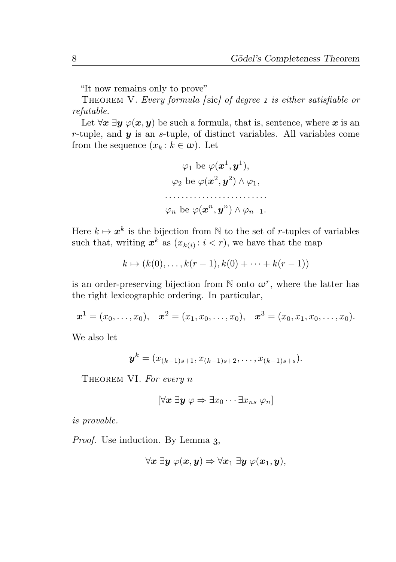"It now remains only to prove"

THEOREM V. Every formula [sic] of degree 1 is either satisfiable or refutable.

Let  $\forall x \exists y \varphi(x, y)$  be such a formula, that is, sentence, where x is an r-tuple, and  $y$  is an s-tuple, of distinct variables. All variables come from the sequence  $(x_k : k \in \omega)$ . Let

$$
\varphi_1 \text{ be } \varphi(\boldsymbol{x}^1, \boldsymbol{y}^1),
$$

$$
\varphi_2 \text{ be } \varphi(\boldsymbol{x}^2, \boldsymbol{y}^2) \wedge \varphi_1,
$$

$$
\dots
$$

$$
\varphi_n \text{ be } \varphi(\boldsymbol{x}^n, \boldsymbol{y}^n) \wedge \varphi_{n-1}.
$$

Here  $k \mapsto x^k$  is the bijection from N to the set of r-tuples of variables such that, writing  $x^k$  as  $(x_{k(i)}: i < r)$ , we have that the map

$$
k \mapsto (k(0), \dots, k(r-1), k(0) + \dots + k(r-1))
$$

is an order-preserving bijection from  $\mathbb N$  onto  $\omega^r$ , where the latter has the right lexicographic ordering. In particular,

$$
x^1 = (x_0, \ldots, x_0), \quad x^2 = (x_1, x_0, \ldots, x_0), \quad x^3 = (x_0, x_1, x_0, \ldots, x_0).
$$

We also let

$$
\bm{y}^k = (x_{(k-1)s+1}, x_{(k-1)s+2}, \ldots, x_{(k-1)s+s}).
$$

THEOREM VI. For every n

$$
[\forall x \; \exists y \; \varphi \Rightarrow \exists x_0 \cdots \exists x_n, \; \varphi_n]
$$

is provable.

Proof. Use induction. By Lemma 3,

$$
\forall \boldsymbol{x} \; \exists \boldsymbol{y} \; \varphi(\boldsymbol{x}, \boldsymbol{y}) \Rightarrow \forall x_1 \; \exists \boldsymbol{y} \; \varphi(\boldsymbol{x}_1, \boldsymbol{y}),
$$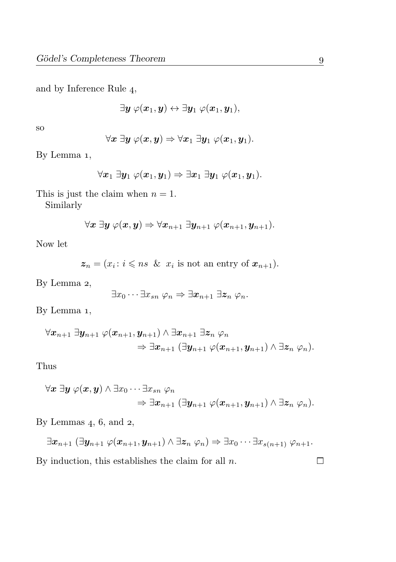and by Inference Rule 4,

$$
\exists \boldsymbol{y} \ \varphi(\boldsymbol{x}_1, \boldsymbol{y}) \leftrightarrow \exists \boldsymbol{y}_1 \ \varphi(\boldsymbol{x}_1, \boldsymbol{y}_1),
$$

so

$$
\forall \boldsymbol{x} \ \exists \boldsymbol{y} \ \varphi(\boldsymbol{x}, \boldsymbol{y}) \Rightarrow \forall \boldsymbol{x}_1 \ \exists \boldsymbol{y}_1 \ \varphi(\boldsymbol{x}_1, \boldsymbol{y}_1).
$$

By Lemma 1,

$$
\forall \boldsymbol{x}_1 \ \exists \boldsymbol{y}_1 \ \varphi(\boldsymbol{x}_1,\boldsymbol{y}_1) \Rightarrow \exists \boldsymbol{x}_1 \ \exists \boldsymbol{y}_1 \ \varphi(\boldsymbol{x}_1,\boldsymbol{y}_1).
$$

This is just the claim when  $n = 1$ .

Similarly

$$
\forall \boldsymbol{x} \ \exists \boldsymbol{y} \ \varphi(\boldsymbol{x}, \boldsymbol{y}) \Rightarrow \forall \boldsymbol{x}_{n+1} \ \exists \boldsymbol{y}_{n+1} \ \varphi(\boldsymbol{x}_{n+1}, \boldsymbol{y}_{n+1}).
$$

Now let

$$
\mathbf{z}_n = (x_i : i \leqslant ns \And x_i \text{ is not an entry of } \mathbf{x}_{n+1}).
$$

By Lemma 2,

$$
\exists x_0 \cdots \exists x_{sn} \ \varphi_n \Rightarrow \exists x_{n+1} \ \exists z_n \ \varphi_n.
$$

By Lemma 1,

$$
\begin{aligned}\forall \boldsymbol{x}_{n+1}\ \exists \boldsymbol{y}_{n+1}\ \varphi(\boldsymbol{x}_{n+1},\boldsymbol{y}_{n+1})\wedge \exists \boldsymbol{x}_{n+1}\ \exists \boldsymbol{z}_{n}\ \varphi_n \\ \Rightarrow \exists \boldsymbol{x}_{n+1}\ (\exists \boldsymbol{y}_{n+1}\ \varphi(\boldsymbol{x}_{n+1},\boldsymbol{y}_{n+1})\wedge \exists \boldsymbol{z}_{n}\ \varphi_n).\end{aligned}
$$

Thus

$$
\begin{aligned}\forall \boldsymbol{x}~\exists \boldsymbol{y}~\varphi(\boldsymbol{x},\boldsymbol{y}) \wedge \exists x_0 \cdots \exists x_{sn}~ \varphi_n \\ \Rightarrow \exists x_{n+1}~(\exists \boldsymbol{y}_{n+1}~\varphi(\boldsymbol{x}_{n+1},\boldsymbol{y}_{n+1}) \wedge \exists \boldsymbol{z}_n~ \varphi_n).\end{aligned}
$$

By Lemmas  $4, 6,$  and  $2,$ 

$$
\exists x_{n+1} (\exists y_{n+1} \ \varphi(x_{n+1}, y_{n+1}) \wedge \exists z_n \ \varphi_n) \Rightarrow \exists x_0 \cdots \exists x_{s(n+1)} \ \varphi_{n+1}.
$$

By induction, this establishes the claim for all  $n$ .

 $\Box$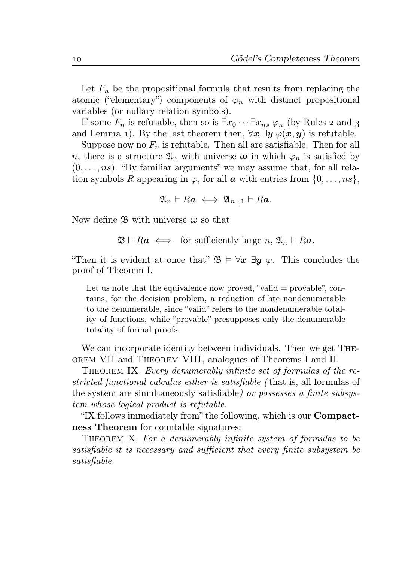Let  $F_n$  be the propositional formula that results from replacing the atomic ("elementary") components of  $\varphi_n$  with distinct propositional variables (or nullary relation symbols).

If some  $F_n$  is refutable, then so is  $\exists x_0 \cdots \exists x_n$   $\varphi_n$  (by Rules 2 and 3 and Lemma 1). By the last theorem then,  $\forall x \exists y \varphi(x, y)$  is refutable.

Suppose now no  $F_n$  is refutable. Then all are satisfiable. Then for all n, there is a structure  $\mathfrak{A}_n$  with universe  $\omega$  in which  $\varphi_n$  is satisfied by  $(0, \ldots, ns)$ . "By familiar arguments" we may assume that, for all relation symbols R appearing in  $\varphi$ , for all  $\boldsymbol{a}$  with entries from  $\{0, \ldots, ns\}$ ,

 $\mathfrak{A}_n \models Ra \iff \mathfrak{A}_{n+1} \models Ra.$ 

Now define  $\mathfrak{B}$  with universe  $\omega$  so that

 $\mathfrak{B} \models Ra \iff \text{for sufficiently large } n, \mathfrak{A}_n \models Ra.$ 

"Then it is evident at once that"  $\mathfrak{B} \models \forall x \exists y \varphi$ . This concludes the proof of Theorem I.

Let us note that the equivalence now proved, "valid  $=$  provable", contains, for the decision problem, a reduction of hte nondenumerable to the denumerable, since "valid" refers to the nondenumerable totality of functions, while "provable" presupposes only the denumerable totality of formal proofs.

We can incorporate identity between individuals. Then we get Theorem VII and Theorem VIII, analogues of Theorems I and II.

THEOREM IX. Every denumerably infinite set of formulas of the restricted functional calculus either is satisfiable ( that is, all formulas of the system are simultaneously satisfiable) or possesses a finite subsystem whose logical product is refutable.

"IX follows immediately from" the following, which is our Compactness Theorem for countable signatures:

THEOREM X. For a denumerably infinite system of formulas to be satisfiable it is necessary and sufficient that every finite subsystem be satisfiable.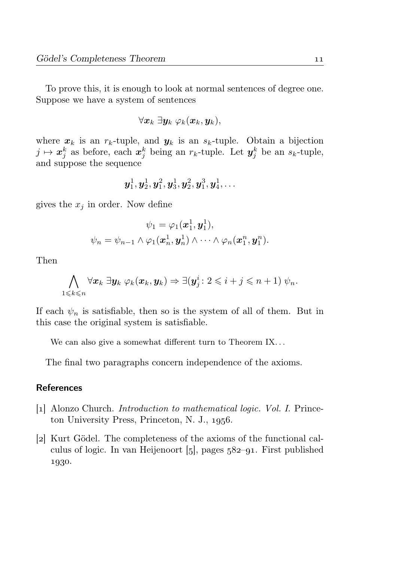To prove this, it is enough to look at normal sentences of degree one. Suppose we have a system of sentences

$$
\forall \boldsymbol{x}_k \ \exists \boldsymbol{y}_k \ \varphi_k(\boldsymbol{x}_k,\boldsymbol{y}_k),
$$

where  $x_k$  is an  $r_k$ -tuple, and  $y_k$  is an  $s_k$ -tuple. Obtain a bijection  $j \mapsto x_j^k$  as before, each  $x_j^k$  being an  $r_k$ -tuple. Let  $y_j^k$  be an  $s_k$ -tuple, and suppose the sequence

$$
\bm{y}_1^1, \bm{y}_2^1, \bm{y}_1^2, \bm{y}_3^1, \bm{y}_2^2, \bm{y}_1^3, \bm{y}_4^1, \ldots
$$

gives the  $x_i$  in order. Now define

$$
\psi_1 = \varphi_1(\boldsymbol{x}_1^1, \boldsymbol{y}_1^1),
$$
  

$$
\psi_n = \psi_{n-1} \wedge \varphi_1(\boldsymbol{x}_n^1, \boldsymbol{y}_n^1) \wedge \cdots \wedge \varphi_n(\boldsymbol{x}_1^n, \boldsymbol{y}_1^n).
$$

Then

$$
\bigwedge_{1\leqslant k\leqslant n}\forall \boldsymbol{x}_k\ \exists \boldsymbol{y}_k\ \varphi_k(\boldsymbol{x}_k,\boldsymbol{y}_k)\Rightarrow \exists (\boldsymbol{y}_j^i\colon 2\leqslant i+j\leqslant n+1)\ \psi_n.
$$

If each  $\psi_n$  is satisfiable, then so is the system of all of them. But in this case the original system is satisfiable.

We can also give a somewhat different turn to Theorem IX...

The final two paragraphs concern independence of the axioms.

## References

- [1] Alonzo Church. *Introduction to mathematical logic. Vol. I.* Princeton University Press, Princeton, N. J., 1956.
- [2] Kurt Gödel. The completeness of the axioms of the functional calculus of logic. In van Heijenoort  $[5]$ , pages  $582 - 91$ . First published 1930.